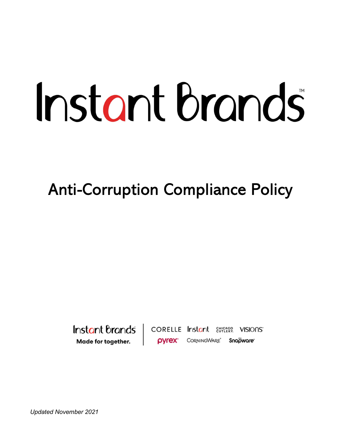# Instant brands

Anti-Corruption Compliance Policy

Instant Brands Made for together.

CORELLE Instant Surges VISIONS' **OVrex** CORNINGWARE<sup>\*</sup> Snapware\*

Updated November 2021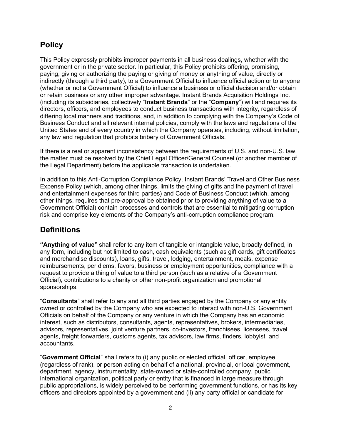## **Policy**

This Policy expressly prohibits improper payments in all business dealings, whether with the government or in the private sector. In particular, this Policy prohibits offering, promising, paying, giving or authorizing the paying or giving of money or anything of value, directly or indirectly (through a third party), to a Government Official to influence official action or to anyone (whether or not a Government Official) to influence a business or official decision and/or obtain or retain business or any other improper advantage. Instant Brands Acquisition Holdings Inc. (including its subsidiaries, collectively "Instant Brands" or the "Company") will and requires its directors, officers, and employees to conduct business transactions with integrity, regardless of differing local manners and traditions, and, in addition to complying with the Company's Code of Business Conduct and all relevant internal policies, comply with the laws and regulations of the United States and of every country in which the Company operates, including, without limitation, any law and regulation that prohibits bribery of Government Officials.

If there is a real or apparent inconsistency between the requirements of U.S. and non-U.S. law, the matter must be resolved by the Chief Legal Officer/General Counsel (or another member of the Legal Department) before the applicable transaction is undertaken.

In addition to this Anti-Corruption Compliance Policy, Instant Brands' Travel and Other Business Expense Policy (which, among other things, limits the giving of gifts and the payment of travel and entertainment expenses for third parties) and Code of Business Conduct (which, among other things, requires that pre-approval be obtained prior to providing anything of value to a Government Official) contain processes and controls that are essential to mitigating corruption risk and comprise key elements of the Company's anti-corruption compliance program.

## **Definitions**

"Anything of value" shall refer to any item of tangible or intangible value, broadly defined, in any form, including but not limited to cash, cash equivalents (such as gift cards, gift certificates and merchandise discounts), loans, gifts, travel, lodging, entertainment, meals, expense reimbursements, per diems, favors, business or employment opportunities, compliance with a request to provide a thing of value to a third person (such as a relative of a Government Official), contributions to a charity or other non-profit organization and promotional sponsorships.

"Consultants" shall refer to any and all third parties engaged by the Company or any entity owned or controlled by the Company who are expected to interact with non-U.S. Government Officials on behalf of the Company or any venture in which the Company has an economic interest, such as distributors, consultants, agents, representatives, brokers, intermediaries, advisors, representatives, joint venture partners, co-investors, franchisees, licensees, travel agents, freight forwarders, customs agents, tax advisors, law firms, finders, lobbyist, and accountants.

"Government Official" shall refers to (i) any public or elected official, officer, employee (regardless of rank), or person acting on behalf of a national, provincial, or local government, department, agency, instrumentality, state-owned or state-controlled company, public international organization, political party or entity that is financed in large measure through public appropriations, is widely perceived to be performing government functions, or has its key officers and directors appointed by a government and (ii) any party official or candidate for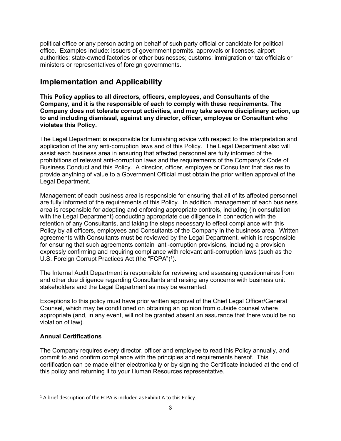political office or any person acting on behalf of such party official or candidate for political office. Examples include: issuers of government permits, approvals or licenses; airport authorities; state-owned factories or other businesses; customs; immigration or tax officials or ministers or representatives of foreign governments.

## Implementation and Applicability

This Policy applies to all directors, officers, employees, and Consultants of the Company, and it is the responsible of each to comply with these requirements. The Company does not tolerate corrupt activities, and may take severe disciplinary action, up to and including dismissal, against any director, officer, employee or Consultant who violates this Policy.

The Legal Department is responsible for furnishing advice with respect to the interpretation and application of the any anti-corruption laws and of this Policy. The Legal Department also will assist each business area in ensuring that affected personnel are fully informed of the prohibitions of relevant anti-corruption laws and the requirements of the Company's Code of Business Conduct and this Policy. A director, officer, employee or Consultant that desires to provide anything of value to a Government Official must obtain the prior written approval of the Legal Department.

Management of each business area is responsible for ensuring that all of its affected personnel are fully informed of the requirements of this Policy. In addition, management of each business area is responsible for adopting and enforcing appropriate controls, including (in consultation with the Legal Department) conducting appropriate due diligence in connection with the retention of any Consultants, and taking the steps necessary to effect compliance with this Policy by all officers, employees and Consultants of the Company in the business area. Written agreements with Consultants must be reviewed by the Legal Department, which is responsible for ensuring that such agreements contain anti-corruption provisions, including a provision expressly confirming and requiring compliance with relevant anti-corruption laws (such as the U.S. Foreign Corrupt Practices Act (the "FCPA")<sup>1</sup>).

The Internal Audit Department is responsible for reviewing and assessing questionnaires from and other due diligence regarding Consultants and raising any concerns with business unit stakeholders and the Legal Department as may be warranted.

Exceptions to this policy must have prior written approval of the Chief Legal Officer/General Counsel, which may be conditioned on obtaining an opinion from outside counsel where appropriate (and, in any event, will not be granted absent an assurance that there would be no violation of law).

### Annual Certifications

The Company requires every director, officer and employee to read this Policy annually, and commit to and confirm compliance with the principles and requirements hereof. This certification can be made either electronically or by signing the Certificate included at the end of this policy and returning it to your Human Resources representative.

 $1$  A brief description of the FCPA is included as Exhibit A to this Policy.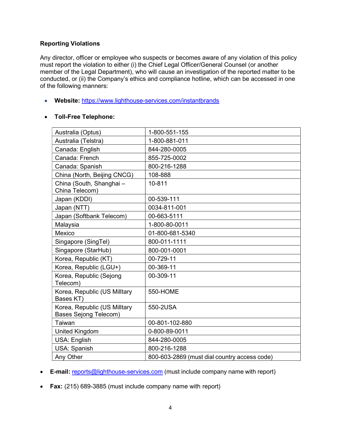#### Reporting Violations

Any director, officer or employee who suspects or becomes aware of any violation of this policy must report the violation to either (i) the Chief Legal Officer/General Counsel (or another member of the Legal Department), who will cause an investigation of the reported matter to be conducted, or (ii) the Company's ethics and compliance hotline, which can be accessed in one of the following manners:

• Website: https://www.lighthouse-services.com/instantbrands

#### Toll-Free Telephone:

| Australia (Optus)                                            | 1-800-551-155                                |
|--------------------------------------------------------------|----------------------------------------------|
| Australia (Telstra)                                          | 1-800-881-011                                |
| Canada: English                                              | 844-280-0005                                 |
| Canada: French                                               | 855-725-0002                                 |
| Canada: Spanish                                              | 800-216-1288                                 |
| China (North, Beijing CNCG)                                  | 108-888                                      |
| China (South, Shanghai -<br>China Telecom)                   | 10-811                                       |
| Japan (KDDI)                                                 | 00-539-111                                   |
| Japan (NTT)                                                  | 0034-811-001                                 |
| Japan (Softbank Telecom)                                     | 00-663-5111                                  |
| Malaysia                                                     | 1-800-80-0011                                |
| Mexico                                                       | 01-800-681-5340                              |
| Singapore (SingTel)                                          | 800-011-1111                                 |
| Singapore (StarHub)                                          | 800-001-0001                                 |
| Korea, Republic (KT)                                         | 00-729-11                                    |
| Korea, Republic (LGU+)                                       | 00-369-11                                    |
| Korea, Republic (Sejong<br>Telecom)                          | 00-309-11                                    |
| Korea, Republic (US Milltary<br>Bases KT)                    | <b>550-HOME</b>                              |
| Korea, Republic (US Milltary<br><b>Bases Sejong Telecom)</b> | 550-2USA                                     |
| Taiwan                                                       | 00-801-102-880                               |
| United Kingdom                                               | 0-800-89-0011                                |
| USA: English                                                 | 844-280-0005                                 |
| USA: Spanish                                                 | 800-216-1288                                 |
| Any Other                                                    | 800-603-2869 (must dial country access code) |

- **E-mail:** reports@lighthouse-services.com (must include company name with report)
- Fax: (215) 689-3885 (must include company name with report)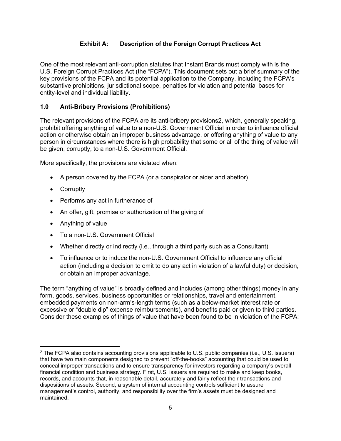## Exhibit A: Description of the Foreign Corrupt Practices Act

One of the most relevant anti-corruption statutes that Instant Brands must comply with is the U.S. Foreign Corrupt Practices Act (the "FCPA"). This document sets out a brief summary of the key provisions of the FCPA and its potential application to the Company, including the FCPA's substantive prohibitions, jurisdictional scope, penalties for violation and potential bases for entity-level and individual liability.

### 1.0 Anti-Bribery Provisions (Prohibitions)

The relevant provisions of the FCPA are its anti-bribery provisions2, which, generally speaking, prohibit offering anything of value to a non-U.S. Government Official in order to influence official action or otherwise obtain an improper business advantage, or offering anything of value to any person in circumstances where there is high probability that some or all of the thing of value will be given, corruptly, to a non-U.S. Government Official.

More specifically, the provisions are violated when:

- A person covered by the FCPA (or a conspirator or aider and abettor)
- Corruptly
- Performs any act in furtherance of
- An offer, gift, promise or authorization of the giving of
- Anything of value
- To a non-U.S. Government Official
- Whether directly or indirectly (i.e., through a third party such as a Consultant)
- To influence or to induce the non-U.S. Government Official to influence any official action (including a decision to omit to do any act in violation of a lawful duty) or decision, or obtain an improper advantage.

The term "anything of value" is broadly defined and includes (among other things) money in any form, goods, services, business opportunities or relationships, travel and entertainment, embedded payments on non-arm's-length terms (such as a below-market interest rate or excessive or "double dip" expense reimbursements), and benefits paid or given to third parties. Consider these examples of things of value that have been found to be in violation of the FCPA:

<sup>&</sup>lt;sup>2</sup> The FCPA also contains accounting provisions applicable to U.S. public companies (i.e., U.S. issuers) that have two main components designed to prevent "off-the-books" accounting that could be used to conceal improper transactions and to ensure transparency for investors regarding a company's overall financial condition and business strategy. First, U.S. issuers are required to make and keep books, records, and accounts that, in reasonable detail, accurately and fairly reflect their transactions and dispositions of assets. Second, a system of internal accounting controls sufficient to assure management's control, authority, and responsibility over the firm's assets must be designed and maintained.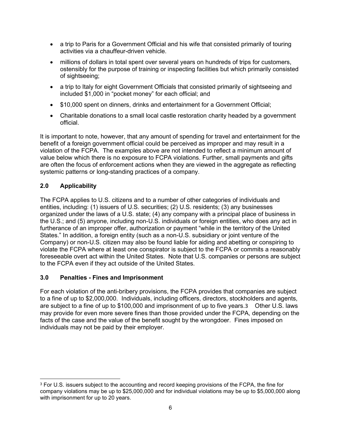- a trip to Paris for a Government Official and his wife that consisted primarily of touring activities via a chauffeur-driven vehicle.
- millions of dollars in total spent over several years on hundreds of trips for customers, ostensibly for the purpose of training or inspecting facilities but which primarily consisted of sightseeing;
- a trip to Italy for eight Government Officials that consisted primarily of sightseeing and included \$1,000 in "pocket money" for each official; and
- \$10,000 spent on dinners, drinks and entertainment for a Government Official;
- Charitable donations to a small local castle restoration charity headed by a government official.

It is important to note, however, that any amount of spending for travel and entertainment for the benefit of a foreign government official could be perceived as improper and may result in a violation of the FCPA. The examples above are not intended to reflect a minimum amount of value below which there is no exposure to FCPA violations. Further, small payments and gifts are often the focus of enforcement actions when they are viewed in the aggregate as reflecting systemic patterns or long-standing practices of a company.

### 2.0 Applicability

The FCPA applies to U.S. citizens and to a number of other categories of individuals and entities, including: (1) issuers of U.S. securities; (2) U.S. residents; (3) any businesses organized under the laws of a U.S. state; (4) any company with a principal place of business in the U.S.; and (5) anyone, including non-U.S. individuals or foreign entities, who does any act in furtherance of an improper offer, authorization or payment "while in the territory of the United States." In addition, a foreign entity (such as a non-U.S. subsidiary or joint venture of the Company) or non-U.S. citizen may also be found liable for aiding and abetting or conspiring to violate the FCPA where at least one conspirator is subject to the FCPA or commits a reasonably foreseeable overt act within the United States. Note that U.S. companies or persons are subject to the FCPA even if they act outside of the United States.

### 3.0 Penalties - Fines and Imprisonment

For each violation of the anti-bribery provisions, the FCPA provides that companies are subject to a fine of up to \$2,000,000. Individuals, including officers, directors, stockholders and agents, are subject to a fine of up to \$100,000 and imprisonment of up to five years.3 Other U.S. laws may provide for even more severe fines than those provided under the FCPA, depending on the facts of the case and the value of the benefit sought by the wrongdoer. Fines imposed on individuals may not be paid by their employer.

<sup>&</sup>lt;sup>3</sup> For U.S. issuers subject to the accounting and record keeping provisions of the FCPA, the fine for company violations may be up to \$25,000,000 and for individual violations may be up to \$5,000,000 along with imprisonment for up to 20 years.